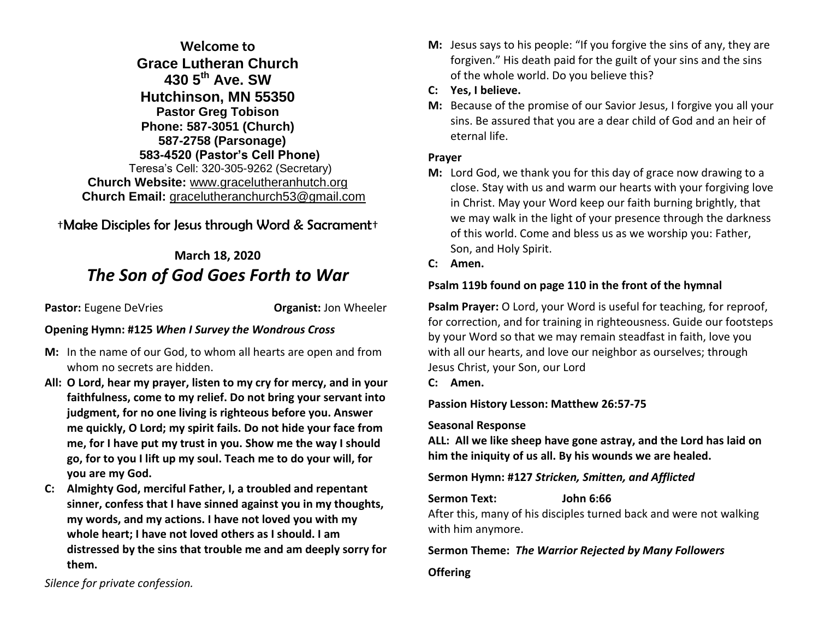# **Welcome to Grace Lutheran Church 430 5th Ave. SW Hutchinson, MN 55350 Pastor Greg Tobison Phone: 587-3051 (Church) 587-2758 (Parsonage) 583-4520 (Pastor's Cell Phone)** Teresa's Cell: 320-305-9262 (Secretary) **Church Website:** [www.gracelutheranhutch.org](http://www.gracelutheranhutch.org/) **Church Email:** [gracelutheranchurch53@gmail.com](mailto:gracelutheranchurch53@gmail.com)

# †Make Disciples for Jesus through Word & Sacrament†

# **March 18, 2020** *The Son of God Goes Forth to War*

**Pastor:** Eugene DeVries **Conservery Conservation Creamist:** Jon Wheeler

# **Opening Hymn: #125** *When I Survey the Wondrous Cross*

- **M:** In the name of our God, to whom all hearts are open and from whom no secrets are hidden.
- **All: O Lord, hear my prayer, listen to my cry for mercy, and in your faithfulness, come to my relief. Do not bring your servant into judgment, for no one living is righteous before you. Answer me quickly, O Lord; my spirit fails. Do not hide your face from me, for I have put my trust in you. Show me the way I should go, for to you I lift up my soul. Teach me to do your will, for you are my God.**
- **C: Almighty God, merciful Father, I, a troubled and repentant sinner, confess that I have sinned against you in my thoughts, my words, and my actions. I have not loved you with my whole heart; I have not loved others as I should. I am distressed by the sins that trouble me and am deeply sorry for them.**
- **M:** Jesus says to his people: "If you forgive the sins of any, they are forgiven." His death paid for the guilt of your sins and the sins of the whole world. Do you believe this?
- **C: Yes, I believe.**
- **M:** Because of the promise of our Savior Jesus, I forgive you all your sins. Be assured that you are a dear child of God and an heir of eternal life.

#### **Prayer**

- **M:** Lord God, we thank you for this day of grace now drawing to a close. Stay with us and warm our hearts with your forgiving love in Christ. May your Word keep our faith burning brightly, that we may walk in the light of your presence through the darkness of this world. Come and bless us as we worship you: Father, Son, and Holy Spirit.
- **C: Amen.**

# **Psalm 119b found on page 110 in the front of the hymnal**

**Psalm Prayer:** O Lord, your Word is useful for teaching, for reproof, for correction, and for training in righteousness. Guide our footsteps by your Word so that we may remain steadfast in faith, love you with all our hearts, and love our neighbor as ourselves; through Jesus Christ, your Son, our Lord

**C: Amen.**

**Passion History Lesson: Matthew 26:57-75**

#### **Seasonal Response**

**ALL: All we like sheep have gone astray, and the Lord has laid on him the iniquity of us all. By his wounds we are healed.**

# **Sermon Hymn: #127** *Stricken, Smitten, and Afflicted*

# **Sermon Text: John 6:66**

After this, many of his disciples turned back and were not walking with him anymore.

# **Sermon Theme:** *The Warrior Rejected by Many Followers*

#### **Offering**

*Silence for private confession.*